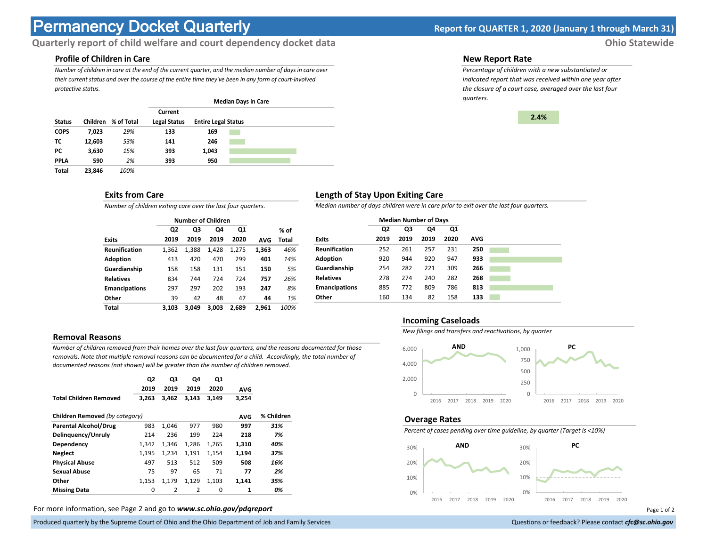# **Permanency Docket Quarterly Report for QUARTER 1, 2020 (January 1 through March 31)**

# **Quarterly report of child welfare and court dependency docket data** *Ohio Statewide*

# **Profile of Children in Care**

*Number of children in care at the end of the current quarter, and the median number of days in care over their current status and over the course of the entire time they've been in any form of court-involved protective status.*

|               |          |            |                     |                            | <b>Median Days in Care</b> |  |
|---------------|----------|------------|---------------------|----------------------------|----------------------------|--|
|               |          |            | Current             |                            |                            |  |
| <b>Status</b> | Children | % of Total | <b>Legal Status</b> | <b>Entire Legal Status</b> |                            |  |
| <b>COPS</b>   | 7,023    | 29%        | 133                 | 169                        |                            |  |
| тс            | 12,603   | 53%        | 141                 | 246                        |                            |  |
| РC            | 3,630    | 15%        | 393                 | 1,043                      |                            |  |
| <b>PPLA</b>   | 590      | 2%         | 393                 | 950                        |                            |  |
| Total         | 23,846   | 100%       |                     |                            |                            |  |

### **Exits from Care**

*Number of children exiting care over the last four quarters.*

|                      |                | <b>Number of Children</b> |       |       |            |       |
|----------------------|----------------|---------------------------|-------|-------|------------|-------|
|                      | Q <sub>2</sub> | Q3                        | Q4    | Q1    |            | % of  |
| <b>Exits</b>         | 2019           | 2019                      | 2019  | 2020  | <b>AVG</b> | Total |
| <b>Reunification</b> | 1,362          | 1,388                     | 1,428 | 1,275 | 1,363      | 46%   |
| Adoption             | 413            | 420                       | 470   | 299   | 401        | 14%   |
| Guardianship         | 158            | 158                       | 131   | 151   | 150        | 5%    |
| <b>Relatives</b>     | 834            | 744                       | 724   | 724   | 757        | 26%   |
| <b>Emancipations</b> | 297            | 297                       | 202   | 193   | 247        | 8%    |
| Other                | 39             | 42                        | 48    | 47    | 44         | 1%    |
| Total                | 3.103          | 3.049                     | 3.003 | 2.689 | 2.961      | 100%  |

#### **Removal Reasons**

*Number of children removed from their homes over the last four quarters, and the reasons documented for those removals. Note that multiple removal reasons can be documented for a child. Accordingly, the total number of documented reasons (not shown) will be greater than the number of children removed.* 

|                                | Q2<br>2019 | Q3<br>2019     | Q4<br>2019     | Q1<br>2020 | <b>AVG</b> |            |
|--------------------------------|------------|----------------|----------------|------------|------------|------------|
| <b>Total Children Removed</b>  | 3,263      | 3,462          | 3,143          | 3,149      | 3,254      |            |
| Children Removed (by category) |            |                |                |            | <b>AVG</b> | % Children |
| <b>Parental Alcohol/Drug</b>   | 983        | 1,046          | 977            | 980        | 997        | 31%        |
| Delinguency/Unruly             | 214        | 236            | 199            | 224        | 218        | 7%         |
| Dependency                     | 1,342      | 1,346          | 1.286          | 1,265      | 1,310      | 40%        |
| <b>Neglect</b>                 | 1.195      | 1.234          | 1.191          | 1,154      | 1.194      | 37%        |
| <b>Physical Abuse</b>          | 497        | 513            | 512            | 509        | 508        | 16%        |
| <b>Sexual Abuse</b>            | 75         | 97             | 65             | 71         | 77         | 2%         |
| Other                          | 1,153      | 1,179          | 1,129          | 1.103      | 1.141      | 35%        |
| <b>Missing Data</b>            | 0          | $\overline{2}$ | $\overline{2}$ | $\Omega$   | 1          | 0%         |

For more information, see Page 2 and go to *www.sc.ohio.gov/pdqreport* examples and the example of 2 and 2 and 3 and 2 and 2 and 2 and 2 and 2 and 2 and 2 and 2 and 2 and 2 and 2 and 2 and 2 and 2 and 2 and 2 and 2 and 2 a

Produced quarterly by the Supreme Court of Ohio and the Ohio Department of Job and Family Services Questions or feedback? Please contact *cfc@sc.ohio.gov* **Questions or feedback? Please contact** *cfc@sc.ohio.gov* 

#### **New Report Rate**

*Percentage of children with a new substantiated or indicated report that was received within one year after the closure of a court case, averaged over the last four quarters.*



## **Length of Stay Upon Exiting Care**

*Median number of days children were in care prior to exit over the last four quarters.*

|                      |      | <b>Median Number of Days</b> |      |      |            |
|----------------------|------|------------------------------|------|------|------------|
|                      | Q2   | Q3                           | Q4   | Q1   |            |
| <b>Exits</b>         | 2019 | 2019                         | 2019 | 2020 | <b>AVG</b> |
| <b>Reunification</b> | 252  | 261                          | 257  | 231  | 250        |
| Adoption             | 920  | 944                          | 920  | 947  | 933        |
| Guardianship         | 254  | 282                          | 221  | 309  | 266        |
| <b>Relatives</b>     | 278  | 274                          | 240  | 282  | 268        |
| <b>Emancipations</b> | 885  | 772                          | 809  | 786  | 813        |
| Other                | 160  | 134                          | 82   | 158  | 133        |

#### **Incoming Caseloads**

*New filings and transfers and reactivations, by quarter*



#### **Overage Rates**

*Percent of cases pending over time guideline, by quarter (Target is <10%)*